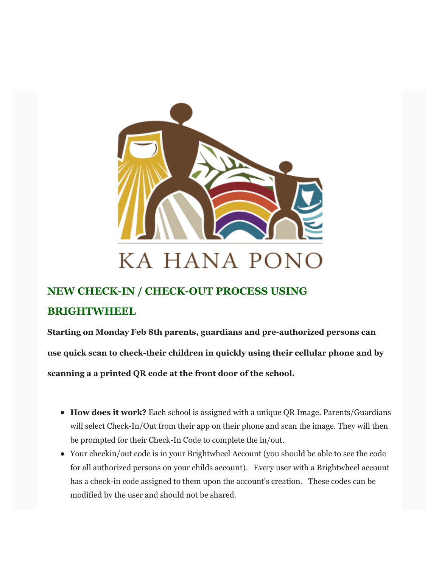

# **NEW CHECK-IN / CHECK-OUT PROCESS USING BRIGHTWHEEL**

**Starting on Monday Feb 8th parents, guardians and pre-authorized persons can use quick scan to check-their children in quickly using their cellular phone and by scanning a a printed QR code at the front door of the school.**

- **How does it work?** Each school is assigned with a unique QR Image. Parents/Guardians will select Check-In/Out from their app on their phone and scan the image. They will then be prompted for their Check-In Code to complete the in/out.
- Your checkin/out code is in your Brightwheel Account (you should be able to see the code for all authorized persons on your childs account). Every user with a Brightwheel account has a check-in code assigned to them upon the account's creation. These codes can be modified by the user and should not be shared.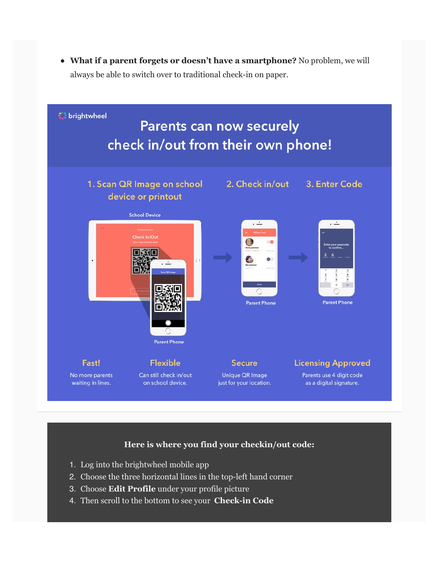**What if a parent forgets or doesn't have a smartphone?** No problem, we will always be able to switch over to traditional check-in on paper.



## **Here is where you find your checkin/out code:**

- 1. Log into the brightwheel mobile app
- 2. Choose the three horizontal lines in the top-left hand corner
- 3. Choose **Edit Profile** under your profile picture
- 4. Then scroll to the bottom to see your **Check-in Code**